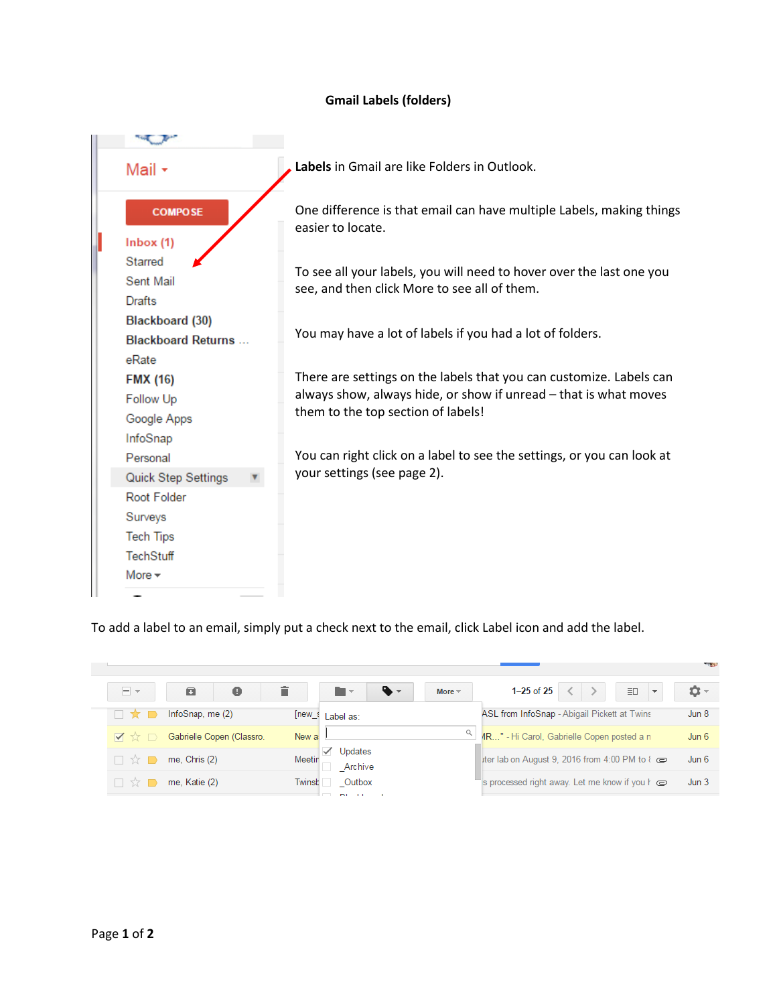## **Gmail Labels (folders)**



To add a label to an email, simply put a check next to the email, click Label icon and add the label.

| $\blacksquare$<br>❶<br>$ -$             | n –                                 | 1-25 of $25$<br>三口<br>$\mathbf{v}$<br>More $\equiv$      | 10 -             |
|-----------------------------------------|-------------------------------------|----------------------------------------------------------|------------------|
| InfoSnap, me (2)<br>□★■                 | [new_s Label as:                    | ASL from InfoSnap - Abigail Pickett at Twins             | Jun 8            |
| Gabrielle Copen (Classro.<br><b>VXD</b> | New a                               | 4R" - Hi Carol, Gabrielle Copen posted a n               | Jun 6            |
| 口立口<br>me, Chris (2)                    | Updates<br>Meetin Update<br>Archive | Iter lab on August 9, 2016 from 4:00 PM to $\ell \equiv$ | Jun 6            |
| me, Katie (2)<br>口立!                    | Twinsb<br>Outbox                    | s processed right away. Let me know if you I co          | Jun <sub>3</sub> |
|                                         | .                                   |                                                          |                  |